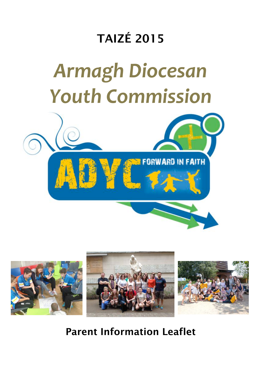# TAIZÉ 2015

# *Armagh Diocesan Youth Commission*





Parent Information Leaflet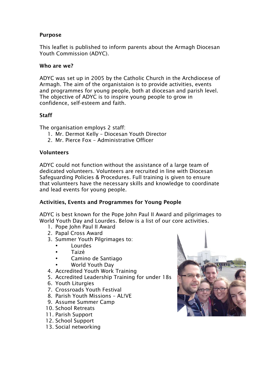#### Purpose

This leaflet is published to inform parents about the Armagh Diocesan Youth Commission (ADYC).

#### Who are we?

ADYC was set up in 2005 by the Catholic Church in the Archdiocese of Armagh. The aim of the organistaion is to provide activities, events and programmes for young people, both at diocesan and parish level. The objective of ADYC is to inspire young people to grow in confidence, self-esteem and faith.

#### **Staff**

The organisation employs 2 staff:

- 1. Mr. Dermot Kelly Diocesan Youth Director
- 2. Mr. Pierce Fox Administrative Officer

#### Volunteers

ADYC could not function without the assistance of a large team of dedicated volunteers. Volunteers are recruited in line with Diocesan Safeguarding Policies & Procedures. Full training is given to ensure that volunteers have the necessary skills and knowledge to coordinate and lead events for young people.

#### Activities, Events and Programmes for Young People

ADYC is best known for the Pope John Paul II Award and pilgrimages to World Youth Day and Lourdes. Below is a list of our core activities.

- 1. Pope John Paul II Award
- 2. Papal Cross Award
- 3. Summer Youth Pilgrimages to:
	- Lourdes
	- Taizé
	- Camino de Santiago
	- World Youth Day
- 4. Accredited Youth Work Training
- 5. Accredited Leadership Training for under 18s
- 6. Youth Liturgies
- 7. Crossroads Youth Festival
- 8. Parish Youth Missions AL!VE
- 9. Assume Summer Camp
- 10. School Retreats
- 11. Parish Support
- 12. School Support
- 13. Social networking

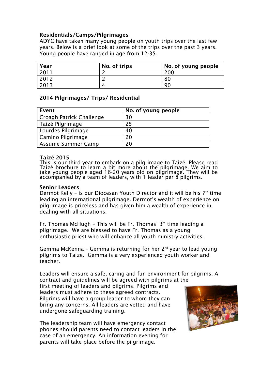#### Residentials/Camps/Pilgrimages

ADYC have taken many young people on youth trips over the last few years. Below is a brief look at some of the trips over the past 3 years. Young people have ranged in age from 12-35.

| Year | No. of trips | No. of young people |
|------|--------------|---------------------|
| 2011 |              | 200                 |
| 2012 |              | 80                  |
| 2013 |              | 90                  |

#### 2014 Pilgrimages/ Trips/ Residential

| <b>Event</b>              | No. of young people |
|---------------------------|---------------------|
| Croagh Patrick Challenge  | 30                  |
| Taizé Pilgrimage          | 25                  |
| Lourdes Pilgrimage        | 40                  |
| Camino Pilgrimage         | 20                  |
| <b>Assume Summer Camp</b> | 20                  |

#### Taizé 2015

This is our third year to embark on a pilgrimage to Taizé. Please read Taizé brochure to learn a bit more about the pilgrimage. We aim to take young people aged 16-20 years old on pilgrimage. They will be accompanied by a team of leaders, with 1 leader per 8 pilgrims.

#### Senior Leaders

Dermot Kelly – is our Diocesan Youth Director and it will be his  $7<sup>th</sup>$  time leading an international pilgrimage. Dermot's wealth of experience on pilgrimage is priceless and has given him a wealth of experience in dealing with all situations.

Fr. Thomas McHugh - This will be Fr. Thomas'  $3<sup>rd</sup>$  time leading a pilgrimage. We are blessed to have Fr. Thomas as a young enthusiastic priest who will enhance all youth ministry activities.

Gemma McKenna – Gemma is returning for her 2nd year to lead young pilgrims to Taize. Gemma is a very experienced youth worker and teacher.

Leaders will ensure a safe, caring and fun environment for pilgrims. A contract and guidelines will be agreed with pilgrims at the

first meeting of leaders and pilgrims. Pilgrims and leaders must adhere to these agreed contracts. Pilgrims will have a group leader to whom they can bring any concerns. All leaders are vetted and have undergone safeguarding training.

The leadership team will have emergency contact phones should parents need to contact leaders in the case of an emergency. An information evening for parents will take place before the pilgrimage.